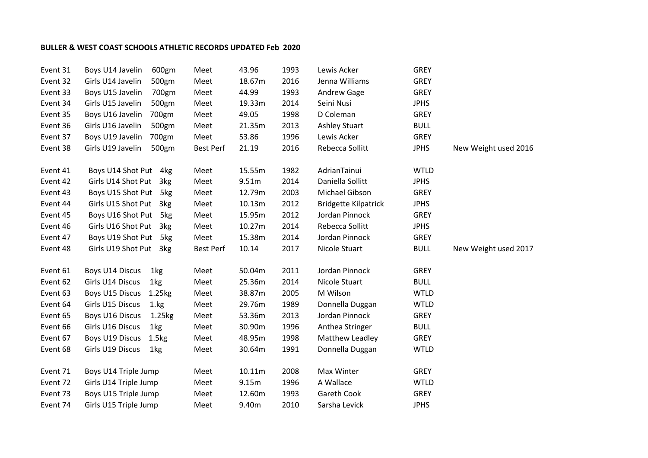## BULLER & WEST COAST SCHOOLS ATHLETIC RECORDS UPDATED Feb 2020

| Event 31 | Boys U14 Javelin<br>600gm            | Meet             | 43.96  | 1993 | Lewis Acker                 | <b>GREY</b> |                      |
|----------|--------------------------------------|------------------|--------|------|-----------------------------|-------------|----------------------|
| Event 32 | Girls U14 Javelin<br>500gm           | Meet             | 18.67m | 2016 | Jenna Williams              | <b>GREY</b> |                      |
| Event 33 | Boys U15 Javelin<br>700gm            | Meet             | 44.99  | 1993 | Andrew Gage                 | <b>GREY</b> |                      |
| Event 34 | Girls U15 Javelin<br>500gm           | Meet             | 19.33m | 2014 | Seini Nusi                  | <b>JPHS</b> |                      |
| Event 35 | Boys U16 Javelin<br>700gm            | Meet             | 49.05  | 1998 | D Coleman                   | <b>GREY</b> |                      |
| Event 36 | Girls U16 Javelin<br>500gm           | Meet             | 21.35m | 2013 | <b>Ashley Stuart</b>        | <b>BULL</b> |                      |
| Event 37 | Boys U19 Javelin<br>700gm            | Meet             | 53.86  | 1996 | Lewis Acker                 | <b>GREY</b> |                      |
| Event 38 | Girls U19 Javelin<br>500gm           | <b>Best Perf</b> | 21.19  | 2016 | Rebecca Sollitt             | <b>JPHS</b> | New Weight used 2016 |
| Event 41 | Boys U14 Shot Put 4kg                | Meet             | 15.55m | 1982 | AdrianTainui                | <b>WTLD</b> |                      |
| Event 42 | Girls U14 Shot Put 3kg               | Meet             | 9.51m  | 2014 | Daniella Sollitt            | <b>JPHS</b> |                      |
| Event 43 | Boys U15 Shot Put 5kg                | Meet             | 12.79m | 2003 | Michael Gibson              | <b>GREY</b> |                      |
| Event 44 | Girls U15 Shot Put 3kg               | Meet             | 10.13m | 2012 | <b>Bridgette Kilpatrick</b> | <b>JPHS</b> |                      |
| Event 45 | Boys U16 Shot Put 5kg                | Meet             | 15.95m | 2012 | Jordan Pinnock              | <b>GREY</b> |                      |
| Event 46 | Girls U16 Shot Put 3kg               | Meet             | 10.27m | 2014 | Rebecca Sollitt             | <b>JPHS</b> |                      |
| Event 47 | Boys U19 Shot Put 5kg                | Meet             | 15.38m | 2014 | Jordan Pinnock              | <b>GREY</b> |                      |
| Event 48 | Girls U19 Shot Put 3kg               | Best Perf        | 10.14  | 2017 | Nicole Stuart               | <b>BULL</b> | New Weight used 2017 |
| Event 61 | Boys U14 Discus<br>1kg               | Meet             | 50.04m | 2011 | Jordan Pinnock              | <b>GREY</b> |                      |
| Event 62 | Girls U14 Discus<br>1kg              | Meet             | 25.36m | 2014 | Nicole Stuart               | <b>BULL</b> |                      |
| Event 63 | Boys U15 Discus<br>1.25kg            | Meet             | 38.87m | 2005 | M Wilson                    | <b>WTLD</b> |                      |
| Event 64 | Girls U15 Discus<br>1.kg             | Meet             | 29.76m | 1989 | Donnella Duggan             | <b>WTLD</b> |                      |
| Event 65 | Boys U16 Discus<br>1.25kg            | Meet             | 53.36m | 2013 | Jordan Pinnock              | <b>GREY</b> |                      |
| Event 66 | Girls U16 Discus<br>1kg              | Meet             | 30.90m | 1996 | Anthea Stringer             | <b>BULL</b> |                      |
| Event 67 | Boys U19 Discus<br>1.5 <sub>kg</sub> | Meet             | 48.95m | 1998 | Matthew Leadley             | <b>GREY</b> |                      |
| Event 68 | Girls U19 Discus<br>1kg              | Meet             | 30.64m | 1991 | Donnella Duggan             | <b>WTLD</b> |                      |
| Event 71 | Boys U14 Triple Jump                 | Meet             | 10.11m | 2008 | Max Winter                  | <b>GREY</b> |                      |
| Event 72 | Girls U14 Triple Jump                | Meet             | 9.15m  | 1996 | A Wallace                   | <b>WTLD</b> |                      |
| Event 73 | Boys U15 Triple Jump                 | Meet             | 12.60m | 1993 | Gareth Cook                 | <b>GREY</b> |                      |
| Event 74 | Girls U15 Triple Jump                | Meet             | 9.40m  | 2010 | Sarsha Levick               | <b>JPHS</b> |                      |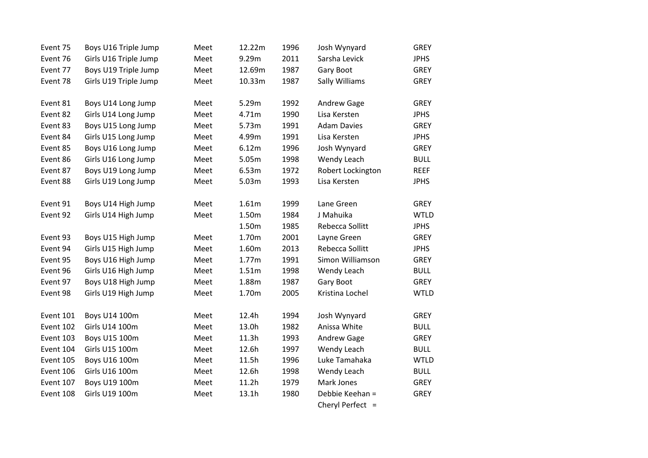| Event 75  | Boys U16 Triple Jump  | Meet | 12.22m | 1996 | Josh Wynyard       | <b>GREY</b> |
|-----------|-----------------------|------|--------|------|--------------------|-------------|
| Event 76  | Girls U16 Triple Jump | Meet | 9.29m  | 2011 | Sarsha Levick      | <b>JPHS</b> |
| Event 77  | Boys U19 Triple Jump  | Meet | 12.69m | 1987 | Gary Boot          | <b>GREY</b> |
| Event 78  | Girls U19 Triple Jump | Meet | 10.33m | 1987 | Sally Williams     | <b>GREY</b> |
|           |                       |      |        |      |                    |             |
| Event 81  | Boys U14 Long Jump    | Meet | 5.29m  | 1992 | Andrew Gage        | <b>GREY</b> |
| Event 82  | Girls U14 Long Jump   | Meet | 4.71m  | 1990 | Lisa Kersten       | <b>JPHS</b> |
| Event 83  | Boys U15 Long Jump    | Meet | 5.73m  | 1991 | <b>Adam Davies</b> | <b>GREY</b> |
| Event 84  | Girls U15 Long Jump   | Meet | 4.99m  | 1991 | Lisa Kersten       | <b>JPHS</b> |
| Event 85  | Boys U16 Long Jump    | Meet | 6.12m  | 1996 | Josh Wynyard       | <b>GREY</b> |
| Event 86  | Girls U16 Long Jump   | Meet | 5.05m  | 1998 | Wendy Leach        | <b>BULL</b> |
| Event 87  | Boys U19 Long Jump    | Meet | 6.53m  | 1972 | Robert Lockington  | <b>REEF</b> |
| Event 88  | Girls U19 Long Jump   | Meet | 5.03m  | 1993 | Lisa Kersten       | <b>JPHS</b> |
|           |                       |      |        |      |                    |             |
| Event 91  | Boys U14 High Jump    | Meet | 1.61m  | 1999 | Lane Green         | <b>GREY</b> |
| Event 92  | Girls U14 High Jump   | Meet | 1.50m  | 1984 | J Mahuika          | <b>WTLD</b> |
|           |                       |      | 1.50m  | 1985 | Rebecca Sollitt    | <b>JPHS</b> |
| Event 93  | Boys U15 High Jump    | Meet | 1.70m  | 2001 | Layne Green        | <b>GREY</b> |
| Event 94  | Girls U15 High Jump   | Meet | 1.60m  | 2013 | Rebecca Sollitt    | <b>JPHS</b> |
| Event 95  | Boys U16 High Jump    | Meet | 1.77m  | 1991 | Simon Williamson   | <b>GREY</b> |
| Event 96  | Girls U16 High Jump   | Meet | 1.51m  | 1998 | Wendy Leach        | <b>BULL</b> |
| Event 97  | Boys U18 High Jump    | Meet | 1.88m  | 1987 | Gary Boot          | <b>GREY</b> |
| Event 98  | Girls U19 High Jump   | Meet | 1.70m  | 2005 | Kristina Lochel    | <b>WTLD</b> |
|           |                       |      |        |      |                    |             |
| Event 101 | Boys U14 100m         | Meet | 12.4h  | 1994 | Josh Wynyard       | <b>GREY</b> |
| Event 102 | Girls U14 100m        | Meet | 13.0h  | 1982 | Anissa White       | <b>BULL</b> |
| Event 103 | Boys U15 100m         | Meet | 11.3h  | 1993 | Andrew Gage        | <b>GREY</b> |
| Event 104 | Girls U15 100m        | Meet | 12.6h  | 1997 | Wendy Leach        | <b>BULL</b> |
| Event 105 | Boys U16 100m         | Meet | 11.5h  | 1996 | Luke Tamahaka      | <b>WTLD</b> |
| Event 106 | Girls U16 100m        | Meet | 12.6h  | 1998 | Wendy Leach        | <b>BULL</b> |
| Event 107 | Boys U19 100m         | Meet | 11.2h  | 1979 | Mark Jones         | <b>GREY</b> |
| Event 108 | Girls U19 100m        | Meet | 13.1h  | 1980 | Debbie Keehan =    | GREY        |
|           |                       |      |        |      | Cheryl Perfect =   |             |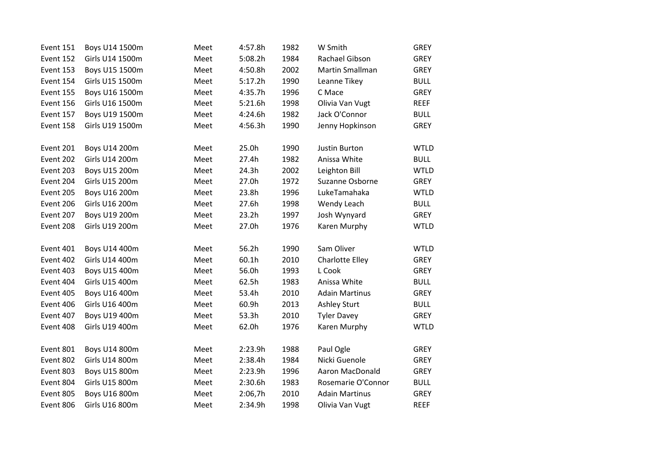| Event 151 | Boys U14 1500m  | Meet | 4:57.8h           | 1982 | W Smith                | <b>GREY</b> |
|-----------|-----------------|------|-------------------|------|------------------------|-------------|
| Event 152 | Girls U14 1500m | Meet | 5:08.2h           | 1984 | Rachael Gibson         | <b>GREY</b> |
| Event 153 | Boys U15 1500m  | Meet | 4:50.8h           | 2002 | Martin Smallman        | <b>GREY</b> |
| Event 154 | Girls U15 1500m | Meet | 5:17.2h           | 1990 | Leanne Tikey           | <b>BULL</b> |
| Event 155 | Boys U16 1500m  | Meet | 4:35.7h           | 1996 | C Mace                 | <b>GREY</b> |
| Event 156 | Girls U16 1500m | Meet | 5:21.6h           | 1998 | Olivia Van Vugt        | <b>REEF</b> |
| Event 157 | Boys U19 1500m  | Meet | 4:24.6h           | 1982 | Jack O'Connor          | <b>BULL</b> |
| Event 158 | Girls U19 1500m | Meet | 4:56.3h           | 1990 | Jenny Hopkinson        | <b>GREY</b> |
| Event 201 | Boys U14 200m   | Meet | 25.0h             | 1990 | <b>Justin Burton</b>   | <b>WTLD</b> |
| Event 202 | Girls U14 200m  | Meet | 27.4h             | 1982 | Anissa White           | <b>BULL</b> |
| Event 203 | Boys U15 200m   | Meet | 24.3h             | 2002 | Leighton Bill          | <b>WTLD</b> |
| Event 204 | Girls U15 200m  | Meet | 27.0h             | 1972 | Suzanne Osborne        | <b>GREY</b> |
| Event 205 | Boys U16 200m   | Meet | 23.8h             | 1996 | LukeTamahaka           | <b>WTLD</b> |
| Event 206 | Girls U16 200m  | Meet | 27.6h             | 1998 | Wendy Leach            | <b>BULL</b> |
| Event 207 | Boys U19 200m   | Meet | 23.2 <sub>h</sub> | 1997 | Josh Wynyard           | GREY        |
| Event 208 | Girls U19 200m  | Meet | 27.0h             | 1976 | Karen Murphy           | <b>WTLD</b> |
| Event 401 | Boys U14 400m   | Meet | 56.2h             | 1990 | Sam Oliver             | <b>WTLD</b> |
| Event 402 | Girls U14 400m  | Meet | 60.1h             | 2010 | Charlotte Elley        | <b>GREY</b> |
| Event 403 | Boys U15 400m   | Meet | 56.0h             | 1993 | L Cook                 | GREY        |
| Event 404 | Girls U15 400m  | Meet | 62.5h             | 1983 | Anissa White           | <b>BULL</b> |
| Event 405 | Boys U16 400m   | Meet | 53.4h             | 2010 | <b>Adain Martinus</b>  | <b>GREY</b> |
| Event 406 | Girls U16 400m  | Meet | 60.9h             | 2013 | <b>Ashley Sturt</b>    | <b>BULL</b> |
| Event 407 | Boys U19 400m   | Meet | 53.3h             | 2010 | <b>Tyler Davey</b>     | <b>GREY</b> |
| Event 408 | Girls U19 400m  | Meet | 62.0h             | 1976 | Karen Murphy           | <b>WTLD</b> |
| Event 801 | Boys U14 800m   | Meet | 2:23.9h           | 1988 | Paul Ogle              | <b>GREY</b> |
| Event 802 | Girls U14 800m  | Meet | 2:38.4h           | 1984 | Nicki Guenole          | <b>GREY</b> |
| Event 803 | Boys U15 800m   | Meet | 2:23.9h           | 1996 | <b>Aaron MacDonald</b> | <b>GREY</b> |
| Event 804 | Girls U15 800m  | Meet | 2:30.6h           | 1983 | Rosemarie O'Connor     | <b>BULL</b> |
| Event 805 | Boys U16 800m   | Meet | 2:06,7h           | 2010 | <b>Adain Martinus</b>  | <b>GREY</b> |
| Event 806 | Girls U16 800m  | Meet | 2:34.9h           | 1998 | Olivia Van Vugt        | <b>REEF</b> |